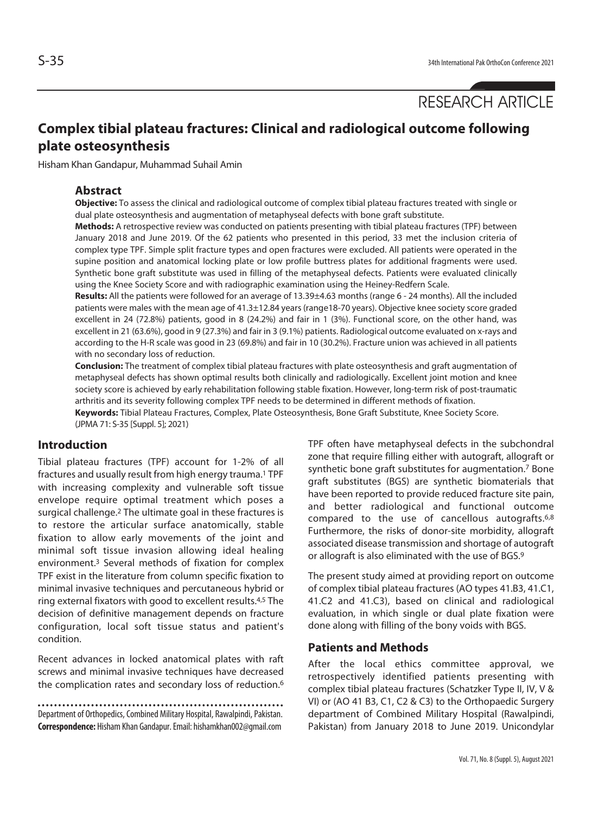RESEARCH ARTICLE

# **Complex tibial plateau fractures: Clinical and radiological outcome following plate osteosynthesis**

Hisham Khan Gandapur, Muhammad Suhail Amin

# **Abstract**

**Objective:** To assess the clinical and radiological outcome of complex tibial plateau fractures treated with single or dual plate osteosynthesis and augmentation of metaphyseal defects with bone graft substitute.

**Methods:** A retrospective review was conducted on patients presenting with tibial plateau fractures (TPF) between January 2018 and June 2019. Of the 62 patients who presented in this period, 33 met the inclusion criteria of complex type TPF. Simple split fracture types and open fractures were excluded. All patients were operated in the supine position and anatomical locking plate or low profile buttress plates for additional fragments were used. Synthetic bone graft substitute was used in filling of the metaphyseal defects. Patients were evaluated clinically using the Knee Society Score and with radiographic examination using the Heiney-Redfern Scale.

**Results:** All the patients were followed for an average of 13.39±4.63 months (range 6 - 24 months). All the included patients were males with the mean age of 41.3±12.84 years (range18-70 years). Objective knee society score graded excellent in 24 (72.8%) patients, good in 8 (24.2%) and fair in 1 (3%). Functional score, on the other hand, was excellent in 21 (63.6%), good in 9 (27.3%) and fair in 3 (9.1%) patients. Radiological outcome evaluated on x-rays and according to the H-R scale was good in 23 (69.8%) and fair in 10 (30.2%). Fracture union was achieved in all patients with no secondary loss of reduction.

**Conclusion:** The treatment of complex tibial plateau fractures with plate osteosynthesis and graft augmentation of metaphyseal defects has shown optimal results both clinically and radiologically. Excellent joint motion and knee society score is achieved by early rehabilitation following stable fixation. However, long-term risk of post-traumatic arthritis and its severity following complex TPF needs to be determined in different methods of fixation.

**Keywords:** Tibial Plateau Fractures, Complex, Plate Osteosynthesis, Bone Graft Substitute, Knee Society Score. (JPMA 71: S-35 [Suppl. 5]; 2021)

# **Introduction**

Tibial plateau fractures (TPF) account for 1-2% of all fractures and usually result from high energy trauma.<sup>1</sup> TPF with increasing complexity and vulnerable soft tissue envelope require optimal treatment which poses a surgical challenge.2 The ultimate goal in these fractures is to restore the articular surface anatomically, stable fixation to allow early movements of the joint and minimal soft tissue invasion allowing ideal healing environment.3 Several methods of fixation for complex TPF exist in the literature from column specific fixation to minimal invasive techniques and percutaneous hybrid or ring external fixators with good to excellent results.4,5 The decision of definitive management depends on fracture configuration, local soft tissue status and patient's condition.

Recent advances in locked anatomical plates with raft screws and minimal invasive techniques have decreased the complication rates and secondary loss of reduction.<sup>6</sup>

```
Department of Orthopedics, Combined Military Hospital, Rawalpindi, Pakistan. 
Correspondence: Hisham Khan Gandapur. Email: hishamkhan002@gmail.com
```
TPF often have metaphyseal defects in the subchondral zone that require filling either with autograft, allograft or synthetic bone graft substitutes for augmentation.7 Bone graft substitutes (BGS) are synthetic biomaterials that have been reported to provide reduced fracture site pain, and better radiological and functional outcome compared to the use of cancellous autografts.6,8 Furthermore, the risks of donor-site morbidity, allograft associated disease transmission and shortage of autograft or allograft is also eliminated with the use of BGS.9

The present study aimed at providing report on outcome of complex tibial plateau fractures (AO types 41.B3, 41.C1, 41.C2 and 41.C3), based on clinical and radiological evaluation, in which single or dual plate fixation were done along with filling of the bony voids with BGS.

# **Patients and Methods**

After the local ethics committee approval, we retrospectively identified patients presenting with complex tibial plateau fractures (Schatzker Type II, IV, V & VI) or (AO 41 B3, C1, C2 & C3) to the Orthopaedic Surgery department of Combined Military Hospital (Rawalpindi, Pakistan) from January 2018 to June 2019. Unicondylar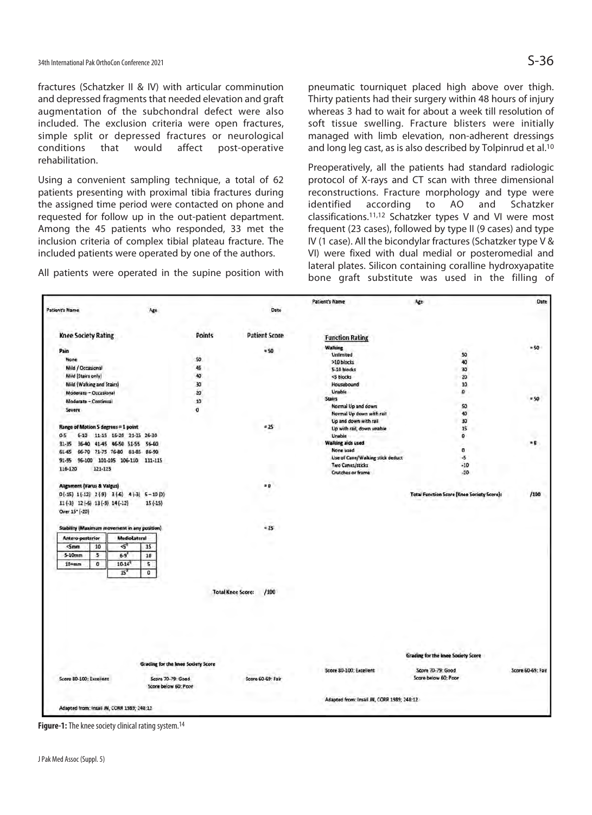fractures (Schatzker II & IV) with articular comminution and depressed fragments that needed elevation and graft augmentation of the subchondral defect were also included. The exclusion criteria were open fractures, simple split or depressed fractures or neurological conditions that would affect post-operative rehabilitation.

Using a convenient sampling technique, a total of 62 patients presenting with proximal tibia fractures during the assigned time period were contacted on phone and requested for follow up in the out-patient department. Among the 45 patients who responded, 33 met the inclusion criteria of complex tibial plateau fracture. The included patients were operated by one of the authors.

All patients were operated in the supine position with

pneumatic tourniquet placed high above over thigh. Thirty patients had their surgery within 48 hours of injury whereas 3 had to wait for about a week till resolution of soft tissue swelling. Fracture blisters were initially managed with limb elevation, non-adherent dressings and long leg cast, as is also described by Tolpinrud et al.<sup>10</sup>

Preoperatively, all the patients had standard radiologic protocol of X-rays and CT scan with three dimensional econstructions. Fracture morphology and type were<br>identified according to AO and Schatzker identified according to AO and Schatzker classifications.11,12 Schatzker types V and VI were most frequent (23 cases), followed by type II (9 cases) and type IV (1 case). All the bicondylar fractures (Schatzker type V & VI) were fixed with dual medial or posteromedial and lateral plates. Silicon containing coralline hydroxyapatite bone graft substitute was used in the filling of

|                                                                                                      |                                           |                                           |                                  | <b>Patient's Name</b>                      | Age                                               | <b>Date</b>       |  |
|------------------------------------------------------------------------------------------------------|-------------------------------------------|-------------------------------------------|----------------------------------|--------------------------------------------|---------------------------------------------------|-------------------|--|
| <b>Patient's Name</b>                                                                                | Age                                       |                                           | Date                             |                                            |                                                   |                   |  |
|                                                                                                      |                                           |                                           |                                  |                                            |                                                   |                   |  |
| <b>Knee Society Rating</b>                                                                           |                                           | <b>Points</b>                             | <b>Patient Score</b>             | <b>Function Rating</b>                     |                                                   |                   |  |
| Pain                                                                                                 |                                           |                                           | $= 50$                           | <b>Walking</b>                             |                                                   | $= 50$            |  |
|                                                                                                      |                                           | 50                                        |                                  | <b>Unlimited</b>                           | 50                                                |                   |  |
| None                                                                                                 |                                           |                                           |                                  | >10 blocks                                 | 40                                                |                   |  |
| Mild / Occasional                                                                                    |                                           | 45                                        |                                  | 5-10 blocks                                | 30                                                |                   |  |
| Mild (Stairs only)                                                                                   |                                           | 40                                        |                                  | <5 blocks                                  | 20                                                |                   |  |
| Mild (Walking and Stairs)                                                                            |                                           | 30                                        |                                  | Housebound<br>Unable                       | 10                                                |                   |  |
| Moderate - Occasional                                                                                |                                           | 20                                        |                                  | <b>Stairs</b>                              | o                                                 | $=50$             |  |
| Moderate - Continual                                                                                 |                                           | 10                                        |                                  | Normal Up and down                         | 50                                                |                   |  |
| Severe                                                                                               |                                           | $\sigma$                                  |                                  | Normal Up down with rail                   | 40                                                |                   |  |
|                                                                                                      |                                           |                                           |                                  | Up and down with rail                      | 30                                                |                   |  |
| Range of Motion 5 degrees = 1 point                                                                  |                                           |                                           | ≃25                              | Up with rail, down unable                  | 15                                                |                   |  |
| 11-15 15-20 21-25 26-30<br>$0-5$<br>$6 - 10$                                                         |                                           |                                           |                                  | Unable                                     | o                                                 |                   |  |
| $36 - 40$<br>41-45 46-50 51-55<br>31-35                                                              | 56-60                                     |                                           |                                  | Walking aids used                          |                                                   | $-0$              |  |
| 71-75 76-80<br>66-70<br>61-65                                                                        | 86-90<br>81-85                            |                                           |                                  | None used                                  | o                                                 |                   |  |
| 96-100 101-105 106-110 111-115<br>91-95                                                              |                                           |                                           |                                  | Use of Cane/Walking stick deduct           | -5                                                |                   |  |
| 121-125<br>116-120                                                                                   |                                           |                                           |                                  | Two Canes/sticks                           | $-10$                                             |                   |  |
|                                                                                                      |                                           |                                           |                                  | <b>Crutches or frame</b>                   | $-20$                                             |                   |  |
| <b>Alignment (Varus &amp; Valgus)</b>                                                                |                                           |                                           | $= 0$                            |                                            |                                                   |                   |  |
| $D(-15)$ 1 $\{-12\}$ 2 $\{-9\}$ 3 $\{-6\}$ 4 $\{-3\}$ 5 - 10 (0)                                     |                                           |                                           |                                  |                                            | <b>Total Function Score (Knee Society Score):</b> | /100              |  |
| $11(-3)$ $12(-6)$ $13(-9)$ $14(-12)$                                                                 | $15(-15)$                                 |                                           |                                  |                                            |                                                   |                   |  |
| Over 15" (-20)                                                                                       |                                           |                                           |                                  |                                            |                                                   |                   |  |
| Stability (Maximum movement in any position)                                                         |                                           |                                           | $= 25$                           |                                            |                                                   |                   |  |
| Antero-posterior                                                                                     | <b>MedioLateral</b>                       |                                           |                                  |                                            |                                                   |                   |  |
| $\mathcal{L}_0$<br>10<br><smm< td=""><td>15</td><td></td><td></td><td></td><td></td><td></td></smm<> | 15                                        |                                           |                                  |                                            |                                                   |                   |  |
| s<br>$5-10$ mm<br>$6 - 9$                                                                            | 10                                        |                                           |                                  |                                            |                                                   |                   |  |
| o<br>$10+mm$<br>$10 - 14$                                                                            | 5                                         |                                           |                                  |                                            |                                                   |                   |  |
| 15 <sup>7</sup>                                                                                      | o                                         |                                           |                                  |                                            |                                                   |                   |  |
|                                                                                                      |                                           |                                           |                                  |                                            |                                                   |                   |  |
|                                                                                                      |                                           |                                           | <b>Total Knee Score:</b><br>/100 |                                            |                                                   |                   |  |
|                                                                                                      |                                           |                                           |                                  |                                            |                                                   |                   |  |
|                                                                                                      |                                           |                                           |                                  |                                            |                                                   |                   |  |
|                                                                                                      |                                           |                                           |                                  |                                            | <b>Grading for the knee Society Score</b>         |                   |  |
|                                                                                                      |                                           | <b>Grading for the knee Society Score</b> |                                  |                                            |                                                   |                   |  |
| Score 80-100: Excellent                                                                              | Score 70-79: Good<br>Score below 60: Poor |                                           | Score 60-69: Fair                | Score 80-100: Excellent                    | Score 70-79: Good<br>Score below 60: Poor         | Score 60-69: Fair |  |
|                                                                                                      |                                           |                                           |                                  | Adapted from: Insail JN, CORR 1989; 248:12 |                                                   |                   |  |
| Adapted from: Insail JN, CORR 1989, 248:12                                                           |                                           |                                           |                                  |                                            |                                                   |                   |  |

**Figure-1:** The knee society clinical rating system.14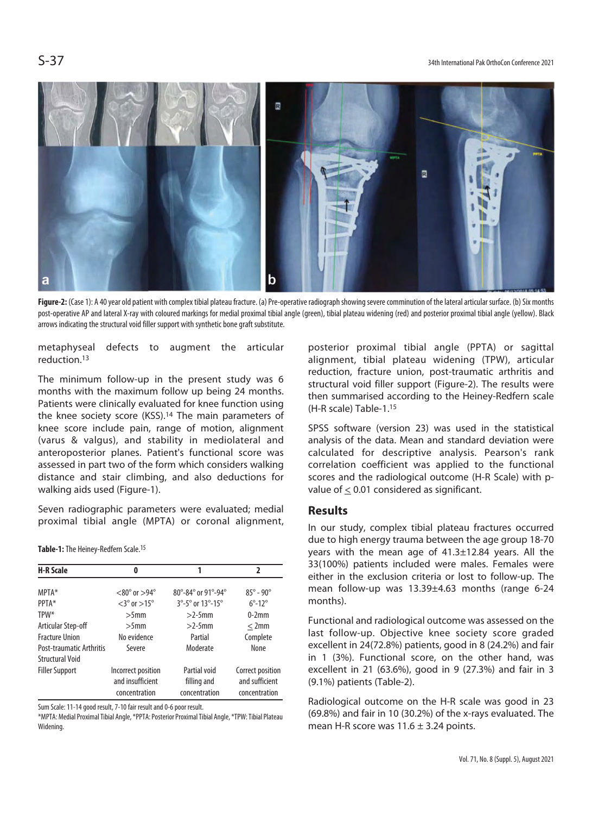

Figure-2: (Case 1): A 40 year old patient with complex tibial plateau fracture. (a) Pre-operative radiograph showing severe comminution of the lateral articular surface. (b) Six months post-operative AP and lateral X-ray with coloured markings for medial proximal tibial angle (green), tibial plateau widening (red) and posterior proximal tibial angle (yellow). Black arrows indicating the structural void filler support with synthetic bone graft substitute.

metaphyseal defects to augment the articular reduction.13

The minimum follow-up in the present study was 6 months with the maximum follow up being 24 months. Patients were clinically evaluated for knee function using the knee society score (KSS).<sup>14</sup> The main parameters of knee score include pain, range of motion, alignment (varus & valgus), and stability in mediolateral and anteroposterior planes. Patient's functional score was assessed in part two of the form which considers walking distance and stair climbing, and also deductions for walking aids used (Figure-1).

Seven radiographic parameters were evaluated; medial proximal tibial angle (MPTA) or coronal alignment,

**Table-1:** The Heiney-Redfern Scale.15

| <b>H-R Scale</b>                | 0                                     | 1                  | $\overline{2}$            |  |
|---------------------------------|---------------------------------------|--------------------|---------------------------|--|
| MPTA*                           | $< 80^{\circ}$ or $> 94^{\circ}$      | 80°-84° or 91°-94° | $85^{\circ} - 90^{\circ}$ |  |
| PPTA*                           | $<$ 3 $^{\circ}$ or $>$ 15 $^{\circ}$ | 3°-5° or 13°-15°   | $6^\circ - 12^\circ$      |  |
| TPW*                            | $>5$ mm                               | $>2-5$ mm          | $0-2mm$                   |  |
| Articular Step-off              | $>5$ mm                               | $>2-5$ mm          | $<$ 2mm                   |  |
| <b>Fracture Union</b>           | No evidence                           | Partial            | Complete                  |  |
| <b>Post-traumatic Arthritis</b> | Severe                                | Moderate           | None                      |  |
| <b>Structural Void</b>          |                                       |                    |                           |  |
| <b>Filler Support</b>           | Incorrect position                    | Partial void       | Correct position          |  |
|                                 | and insufficient                      | filling and        | and sufficient            |  |
|                                 | concentration                         | concentration      | concentration             |  |

Sum Scale: 11-14 good result, 7-10 fair result and 0-6 poor result.

\*MPTA: Medial Proximal Tibial Angle, \*PPTA: Posterior Proximal Tibial Angle, \*TPW: Tibial Plateau Widening.

posterior proximal tibial angle (PPTA) or sagittal alignment, tibial plateau widening (TPW), articular reduction, fracture union, post-traumatic arthritis and structural void filler support (Figure-2). The results were then summarised according to the Heiney-Redfern scale (H-R scale) Table-1.15

SPSS software (version 23) was used in the statistical analysis of the data. Mean and standard deviation were calculated for descriptive analysis. Pearson's rank correlation coefficient was applied to the functional scores and the radiological outcome (H-R Scale) with pvalue of  $\leq$  0.01 considered as significant.

### **Results**

In our study, complex tibial plateau fractures occurred due to high energy trauma between the age group 18-70 years with the mean age of 41.3±12.84 years. All the 33(100%) patients included were males. Females were either in the exclusion criteria or lost to follow-up. The mean follow-up was 13.39±4.63 months (range 6-24 months).

Functional and radiological outcome was assessed on the last follow-up. Objective knee society score graded excellent in 24(72.8%) patients, good in 8 (24.2%) and fair in 1 (3%). Functional score, on the other hand, was excellent in 21 (63.6%), good in 9 (27.3%) and fair in 3 (9.1%) patients (Table-2).

Radiological outcome on the H-R scale was good in 23 (69.8%) and fair in 10 (30.2%) of the x-rays evaluated. The mean H-R score was  $11.6 \pm 3.24$  points.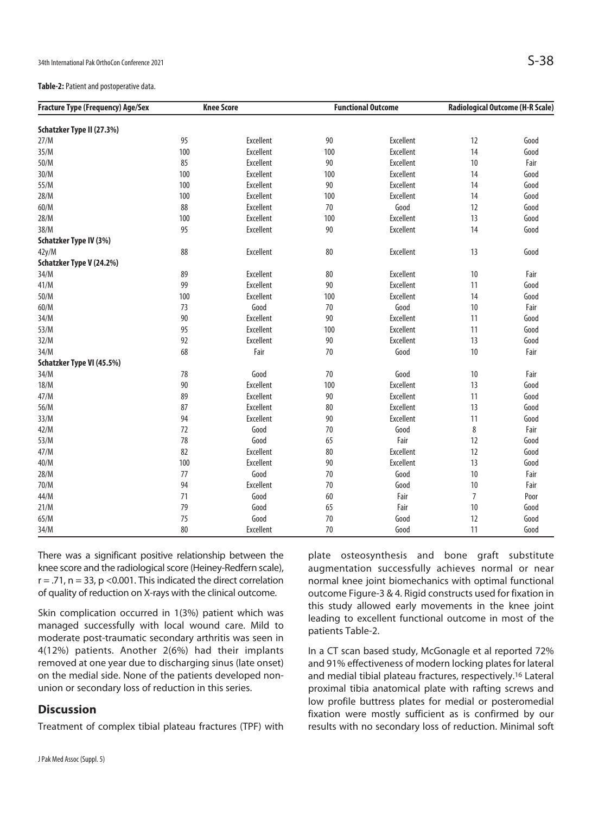#### **Table-2:** Patient and postoperative data.

| <b>Fracture Type (Frequency) Age/Sex</b> | <b>Knee Score</b> |           | <b>Functional Outcome</b> |           | <b>Radiological Outcome (H-R Scale)</b> |      |
|------------------------------------------|-------------------|-----------|---------------------------|-----------|-----------------------------------------|------|
| Schatzker Type II (27.3%)                |                   |           |                           |           |                                         |      |
| 27/M                                     | 95                | Excellent | 90                        | Excellent | 12                                      | Good |
| 35/M                                     | 100               | Excellent | 100                       | Excellent | 14                                      | Good |
| 50/M                                     | 85                | Excellent | 90                        | Excellent | 10                                      | Fair |
| 30/M                                     | 100               | Excellent | 100                       | Excellent | 14                                      | Good |
| 55/M                                     | 100               | Excellent | 90                        | Excellent | 14                                      | Good |
| 28/M                                     | 100               | Excellent | 100                       | Excellent | 14                                      | Good |
| 60/M                                     | 88                | Excellent | 70                        | Good      | 12                                      | Good |
| 28/M                                     | 100               | Excellent | 100                       | Excellent | 13                                      | Good |
| 38/M                                     | 95                | Excellent | 90                        | Excellent | 14                                      | Good |
| Schatzker Type IV (3%)                   |                   |           |                           |           |                                         |      |
| 42y/M                                    | 88                | Excellent | 80                        | Excellent | 13                                      | Good |
| Schatzker Type V (24.2%)                 |                   |           |                           |           |                                         |      |
| 34/M                                     | 89                | Excellent | 80                        | Excellent | 10                                      | Fair |
| 41/M                                     | 99                | Excellent | 90                        | Excellent | 11                                      | Good |
| 50/M                                     | 100               | Excellent | 100                       | Excellent | 14                                      | Good |
| 60/M                                     | 73                | Good      | 70                        | Good      | 10                                      | Fair |
| 34/M                                     | 90                | Excellent | 90                        | Excellent | 11                                      | Good |
| 53/M                                     | 95                | Excellent | 100                       | Excellent | 11                                      | Good |
| 32/M                                     | 92                | Excellent | 90                        | Excellent | 13                                      | Good |
| 34/M                                     | 68                | Fair      | 70                        | Good      | 10                                      | Fair |
| Schatzker Type VI (45.5%)                |                   |           |                           |           |                                         |      |
| 34/M                                     | 78                | Good      | 70                        | Good      | 10                                      | Fair |
| 18/M                                     | 90                | Excellent | 100                       | Excellent | 13                                      | Good |
| 47/M                                     | 89                | Excellent | 90                        | Excellent | 11                                      | Good |
| 56/M                                     | 87                | Excellent | 80                        | Excellent | 13                                      | Good |
| 33/M                                     | 94                | Excellent | 90                        | Excellent | 11                                      | Good |
| 42/M                                     | 72                | Good      | 70                        | Good      | 8                                       | Fair |
| 53/M                                     | 78                | Good      | 65                        | Fair      | 12                                      | Good |
| 47/M                                     | 82                | Excellent | 80                        | Excellent | 12                                      | Good |
| 40/M                                     | 100               | Excellent | 90                        | Excellent | 13                                      | Good |
| 28/M                                     | 77                | Good      | 70                        | Good      | 10                                      | Fair |
| 70/M                                     | 94                | Excellent | 70                        | Good      | 10                                      | Fair |
| 44/M                                     | 71                | Good      | 60                        | Fair      | $\overline{7}$                          | Poor |
| 21/M                                     | 79                | Good      | 65                        | Fair      | 10                                      | Good |
| 65/M                                     | 75                | Good      | 70                        | Good      | 12                                      | Good |
| 34/M                                     | 80                | Excellent | 70                        | Good      | 11                                      | Good |

There was a significant positive relationship between the knee score and the radiological score (Heiney-Redfern scale),  $r = .71$ ,  $n = 33$ ,  $p < 0.001$ . This indicated the direct correlation of quality of reduction on X-rays with the clinical outcome.

Skin complication occurred in 1(3%) patient which was managed successfully with local wound care. Mild to moderate post-traumatic secondary arthritis was seen in 4(12%) patients. Another 2(6%) had their implants removed at one year due to discharging sinus (late onset) on the medial side. None of the patients developed nonunion or secondary loss of reduction in this series.

# **Discussion**

Treatment of complex tibial plateau fractures (TPF) with

plate osteosynthesis and bone graft substitute augmentation successfully achieves normal or near normal knee joint biomechanics with optimal functional outcome Figure-3 & 4. Rigid constructs used for fixation in this study allowed early movements in the knee joint leading to excellent functional outcome in most of the patients Table-2.

In a CT scan based study, McGonagle et al reported 72% and 91% effectiveness of modern locking plates for lateral and medial tibial plateau fractures, respectively.16 Lateral proximal tibia anatomical plate with rafting screws and low profile buttress plates for medial or posteromedial fixation were mostly sufficient as is confirmed by our results with no secondary loss of reduction. Minimal soft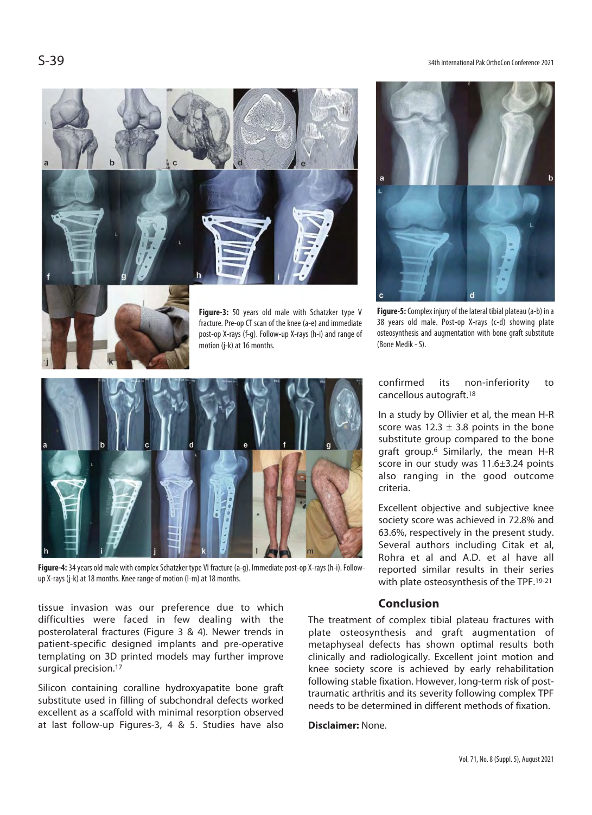# S-39 34th International Pak OrthoCon Conference 2021



post-op X-rays (f-g). Follow-up X-rays (h-i) and range of motion (j-k) at 16 months.



**Figure-5:** Complex injury of the lateral tibial plateau (a-b) in a 38 years old male. Post-op X-rays (c-d) showing plate osteosynthesis and augmentation with bone graft substitute (Bone Medik - S).



**Figure-4:** 34 years old male with complex Schatzker type VI fracture (a-g). Immediate post-op X-rays (h-i). Followup X-rays (j-k) at 18 months. Knee range of motion (l-m) at 18 months.

confirmed its non-inferiority to cancellous autograft.18

In a study by Ollivier et al, the mean H-R score was  $12.3 \pm 3.8$  points in the bone substitute group compared to the bone graft group.6 Similarly, the mean H-R score in our study was 11.6±3.24 points also ranging in the good outcome criteria.

Excellent objective and subjective knee society score was achieved in 72.8% and 63.6%, respectively in the present study. Several authors including Citak et al, Rohra et al and A.D. et al have all reported similar results in their series with plate osteosynthesis of the TPF.19-21

tissue invasion was our preference due to which difficulties were faced in few dealing with the posterolateral fractures (Figure 3 & 4). Newer trends in patient-specific designed implants and pre-operative templating on 3D printed models may further improve surgical precision.17

Silicon containing coralline hydroxyapatite bone graft substitute used in filling of subchondral defects worked excellent as a scaffold with minimal resorption observed at last follow-up Figures-3, 4 & 5. Studies have also

## **Conclusion**

The treatment of complex tibial plateau fractures with plate osteosynthesis and graft augmentation of metaphyseal defects has shown optimal results both clinically and radiologically. Excellent joint motion and knee society score is achieved by early rehabilitation following stable fixation. However, long-term risk of posttraumatic arthritis and its severity following complex TPF needs to be determined in different methods of fixation.

#### **Disclaimer:** None.